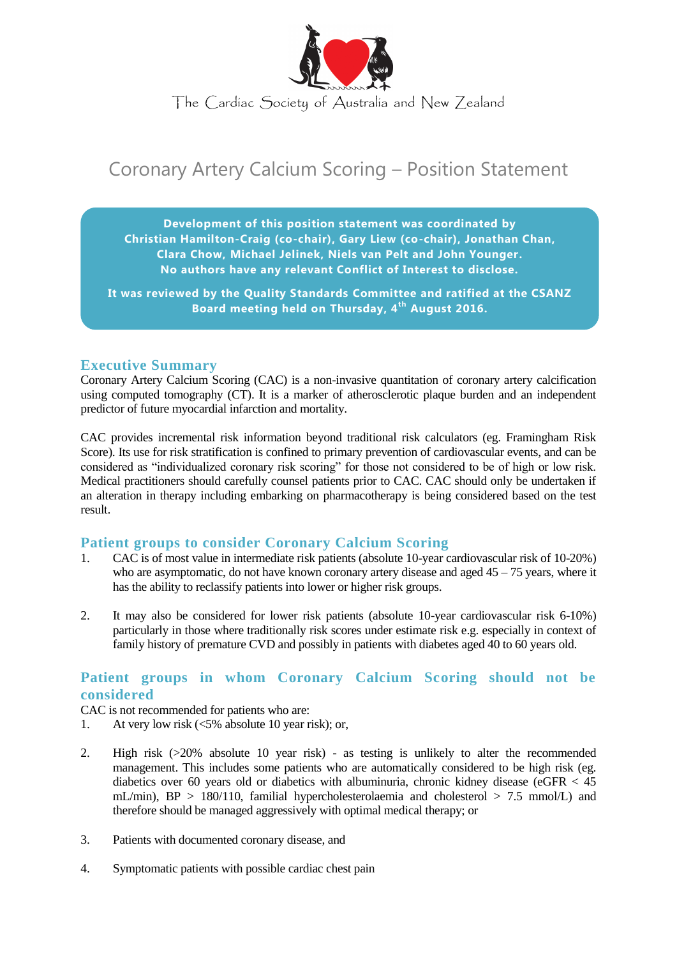

The Cardiac Society of Australia and New Zealand

# Coronary Artery Calcium Scoring – Position Statement

**Development of this position statement was coordinated by Christian Hamilton-Craig (co-chair), Gary Liew (co-chair), Jonathan Chan, Clara Chow, Michael Jelinek, Niels van Pelt and John Younger. No authors have any relevant Conflict of Interest to disclose.**

**It was reviewed by the Quality Standards Committee and ratified at the CSANZ Board meeting held on Thursday, 4th August 2016.**

## **Executive Summary**

Coronary Artery Calcium Scoring (CAC) is a non-invasive quantitation of coronary artery calcification using computed tomography (CT). It is a marker of atherosclerotic plaque burden and an independent predictor of future myocardial infarction and mortality.

CAC provides incremental risk information beyond traditional risk calculators (eg. Framingham Risk Score). Its use for risk stratification is confined to primary prevention of cardiovascular events, and can be considered as "individualized coronary risk scoring" for those not considered to be of high or low risk. Medical practitioners should carefully counsel patients prior to CAC. CAC should only be undertaken if an alteration in therapy including embarking on pharmacotherapy is being considered based on the test result.

# **Patient groups to consider Coronary Calcium Scoring**

- 1. CAC is of most value in intermediate risk patients (absolute 10-year cardiovascular risk of 10-20%) who are asymptomatic, do not have known coronary artery disease and aged  $45 - 75$  years, where it has the ability to reclassify patients into lower or higher risk groups.
- 2. It may also be considered for lower risk patients (absolute 10-year cardiovascular risk 6-10%) particularly in those where traditionally risk scores under estimate risk e.g. especially in context of family history of premature CVD and possibly in patients with diabetes aged 40 to 60 years old.

## **Patient groups in whom Coronary Calcium Scoring should not be considered**

CAC is not recommended for patients who are:

- 1. At very low risk (<5% absolute 10 year risk); or,
- 2. High risk (>20% absolute 10 year risk) as testing is unlikely to alter the recommended management. This includes some patients who are automatically considered to be high risk (eg. diabetics over 60 years old or diabetics with albuminuria, chronic kidney disease (eGFR  $<$  45 mL/min),  $BP > 180/110$ , familial hypercholesterolaemia and cholesterol  $> 7.5$  mmol/L) and therefore should be managed aggressively with optimal medical therapy; or
- 3. Patients with documented coronary disease, and
- 4. Symptomatic patients with possible cardiac chest pain